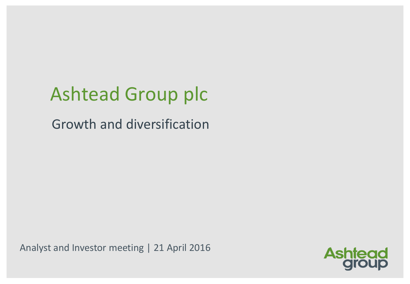# Ashtead Group plc

Growth and diversification

Analyst and Investor meeting | 21 April 2016

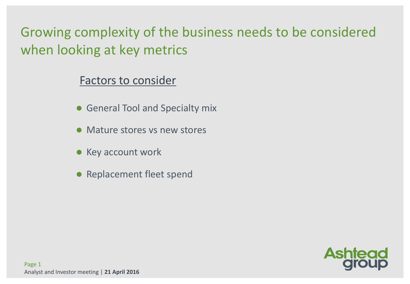Growing complexity of the business needs to be considered when looking at key metrics

#### Factors to consider

- **General Tool and Specialty mix**
- Mature stores vs new stores
- **Key account work**
- Replacement fleet spend

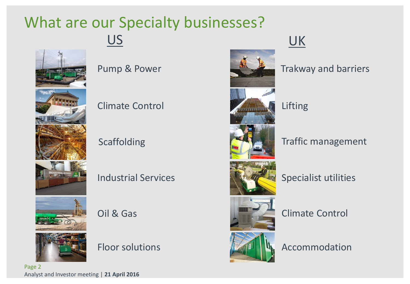### What are our Specialty businesses? US



Climate Control

Scaffolding

Industrial Services

Oil & Gas



Floor solutions



### UK

Pump & Power Trakway and barriers

Lifting

#### Traffic management



Specialist utilities



Climate Control



Accommodation

Page 2 Analyst and Investor meeting | **21 April 2016**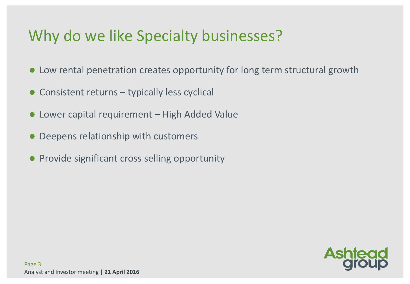### Why do we like Specialty businesses?

- Low rental penetration creates opportunity for long term structural growth
- Consistent returns typically less cyclical
- Lower capital requirement High Added Value
- Deepens relationship with customers
- **Provide significant cross selling opportunity**

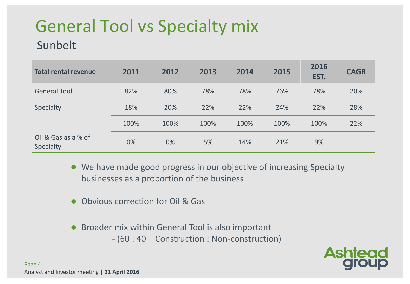## General Tool vs Specialty mix

#### Sunbelt

| <b>Total rental revenue</b>      | 2011 | 2012 | 2013 | 2014 | 2015 | 2016<br>EST. | <b>CAGR</b> |
|----------------------------------|------|------|------|------|------|--------------|-------------|
| <b>General Tool</b>              | 82%  | 80%  | 78%  | 78%  | 76%  | 78%          | 20%         |
| Specialty                        | 18%  | 20%  | 22%  | 22%  | 24%  | 22%          | 28%         |
|                                  | 100% | 100% | 100% | 100% | 100% | 100%         | 22%         |
| Oil & Gas as a % of<br>Specialty | 0%   | 0%   | 5%   | 14%  | 21%  | 9%           |             |

 We have made good progress in our objective of increasing Specialty businesses as a proportion of the business

- Obvious correction for Oil & Gas
- Broader mix within General Tool is also important - (60 : 40 – Construction : Non-construction)

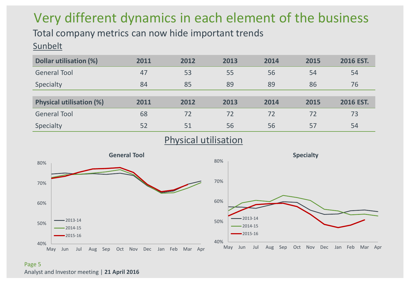### Very different dynamics in each element of the business

Total company metrics can now hide important trends **Sunbelt** 

| Dollar utilisation (%)          | 2011 | 2012 | 2013 | 2014 | 2015 | <b>2016 EST.</b> |
|---------------------------------|------|------|------|------|------|------------------|
| <b>General Tool</b>             | 47   | 53   | 55   | 56   | 54   | 54               |
| Specialty                       | 84   | 85   | 89   | 89   | 86   | 76               |
|                                 |      |      |      |      |      |                  |
| <b>Physical utilisation (%)</b> | 2011 | 2012 | 2013 | 2014 | 2015 | 2016 EST.        |
| <b>General Tool</b>             | 68   | 72   | 72   | 72   | 72   | 73               |
| Specialty                       | 52   | 51   | 56   | 56   | 57   | 54               |

Physical utilisation



Page 5 Analyst and Investor meeting | **21 April 2016**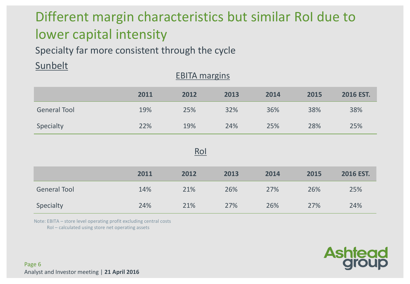### Different margin characteristics but similar RoI due to lower capital intensity

Specialty far more consistent through the cycle

#### **Sunbelt**

|                     | 2011 | 2012 | 2013 | 2014 | 2015 | 2016 EST. |  |  |  |  |  |
|---------------------|------|------|------|------|------|-----------|--|--|--|--|--|
| <b>General Tool</b> | 19%  | 25%  | 32%  | 36%  | 38%  | 38%       |  |  |  |  |  |
| Specialty           | 22%  | 19%  | 24%  | 25%  | 28%  | 25%       |  |  |  |  |  |

EBITA margins

#### RoI

|                     | 2011 | 2012 | 2013 | 2014 | 2015 | 2016 EST. |
|---------------------|------|------|------|------|------|-----------|
| <b>General Tool</b> | 14%  | 21%  | 26%  | 27%  | 26%  | 25%       |
| Specialty           | 24%  | 21%  | 27%  | 26%  | 27%  | 24%       |

Note: EBITA – store level operating profit excluding central costs

RoI – calculated using store net operating assets



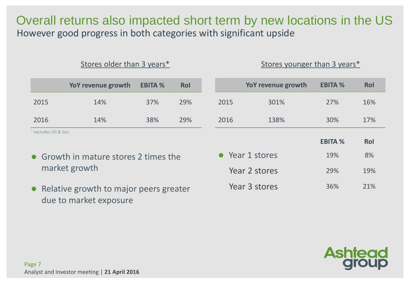Overall returns also impacted short term by new locations in the US However good progress in both categories with significant upside

|                    | Stores older than 3 years*            |                | Stores younger than 3 years* |      |                    |                       |                  |
|--------------------|---------------------------------------|----------------|------------------------------|------|--------------------|-----------------------|------------------|
|                    | YoY revenue growth                    | <b>EBITA %</b> | <b>Rol</b>                   |      | YoY revenue growth | <b>EBITA %</b>        | Rol              |
| 2015               | 14%                                   | 37%            | 29%                          | 2015 | 301%               | 27%                   | 16%              |
| 2016               | 14%                                   | 38%            | 29%                          | 2016 | 138%               | 30%                   | 17%              |
| excludes Oil & Gas | • Growth in mature stores 2 times the |                |                              |      | • Year 1 stores    | <b>EBITA %</b><br>19% | <b>Rol</b><br>8% |
|                    | market growth                         |                |                              |      | Year 2 stores      | 29%                   | 19%              |

• Relative growth to major peers greater due to market exposure

**Ashtead** 

Year 3 stores 36% 21%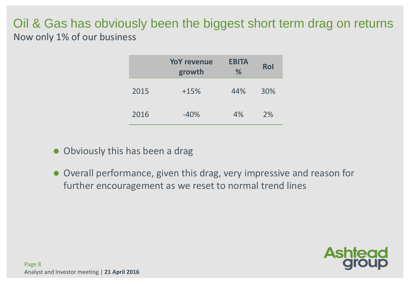#### Oil & Gas has obviously been the biggest short term drag on returns Now only 1% of our business

|      | <b>YoY revenue</b><br>growth | <b>EBITA</b><br>% | <b>Rol</b> |
|------|------------------------------|-------------------|------------|
| 2015 | $+15%$                       | 44%               | 30%        |
| 2016 | $-40%$                       | 4%                | 2%         |

- Obviously this has been a drag
- Overall performance, given this drag, very impressive and reason for further encouragement as we reset to normal trend lines

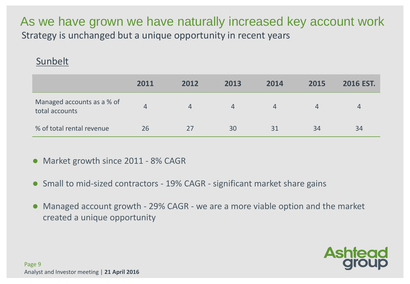As we have grown we have naturally increased key account work Strategy is unchanged but a unique opportunity in recent years

#### Sunbelt

|                                              | 2011 | 2012 | 2013 | 2014 | 2015 | <b>2016 EST.</b> |
|----------------------------------------------|------|------|------|------|------|------------------|
| Managed accounts as a % of<br>total accounts | 4    | 4    | 4    | 4    |      | 4                |
| % of total rental revenue                    | 26   | 27   | 30   | 31   | 34   | 34               |

Market growth since 2011 - 8% CAGR

- Small to mid-sized contractors 19% CAGR significant market share gains
- Managed account growth 29% CAGR we are a more viable option and the market created a unique opportunity

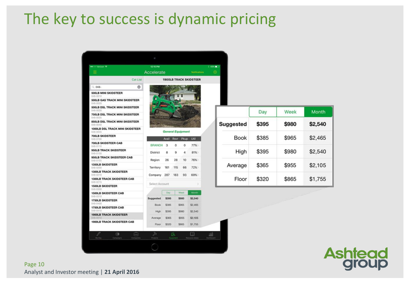### The key to success is dynamic pricing

| ●●000 Verizon →                                   |           | 12:15 PM       |                          |             |       |                               | $+49\sqrt{2}$ |                  |                 |
|---------------------------------------------------|-----------|----------------|--------------------------|-------------|-------|-------------------------------|---------------|------------------|-----------------|
| ≡                                                 |           | Accelerate     |                          |             |       | Natifications                 | 樹             |                  |                 |
|                                                   | Cat List  |                |                          |             |       | <b>1900LB TRACK SKIDSTEER</b> |               |                  |                 |
| $Q$ 048-                                          | ۰         |                |                          |             |       |                               |               |                  |                 |
| <b>500LB MINI SKIDSTEER</b><br>048-0010           |           |                |                          |             |       |                               |               |                  |                 |
| <b>500LB GAS TRACK MINI SKIDSTEER</b><br>048-0020 |           |                |                          |             |       |                               |               |                  |                 |
| 500LB DSL TRACK MINI SKIDSTEER<br>048-0030        |           |                |                          |             |       |                               |               |                  |                 |
| <b>750LB DSL TRACK MINI SKIDSTEER</b><br>048-0035 |           |                |                          |             |       |                               |               |                  | Da <sup>®</sup> |
| 850LB DSL TRACK MINI SKIDSTEER<br>048-0040        |           |                |                          |             |       |                               |               | <b>Suggested</b> | \$39            |
| 1000LB DSL TRACK MINI SKIDSTEER                   |           |                | <b>General Equipment</b> |             |       |                               |               |                  |                 |
| 048-0045<br><b>700LB SKIDSTEER</b><br>048-0100    |           |                | Avail                    | <b>Rsvr</b> | Pkup  | Util                          |               | <b>Book</b>      | \$38            |
| <b>700LB SKIDSTEER CAB</b><br>048-0110            |           | <b>BRANCH</b>  | 3                        | 0           | 0     | 77%                           |               |                  |                 |
| <b>950LB TRACK SKIDSTEER</b><br>048-0150          |           | District       | 8                        | 9           | 4     | 81%>                          |               | High             | \$39            |
| <b>950LB TRACK SKIDSTEER CAB</b><br>048-0155      |           | Region         | 26                       | 28          | 10    | 76%                           |               |                  |                 |
| <b>1350LB SKIDSTEER</b>                           |           |                |                          |             |       | 72%>                          |               | Average          | \$36            |
| 048-0200<br><b>1300LB TRACK SKIDSTEER</b>         |           | Territory      | 161                      | 115         | 66    |                               |               |                  |                 |
| 048-0210<br><b>1300LB TRACK SKIDSTEER CAB</b>     |           | Company        | 287                      | 183         | 93    | 69%                           |               | Floor            | \$32            |
| 048-0215<br><b>1500LB SKIDSTEER</b>               |           | Select Account |                          |             |       |                               |               |                  |                 |
| 048-0300<br><b>1500LB SKIDSTEER CAB</b>           |           |                | Day                      |             | Week  | Month                         |               |                  |                 |
| 048-0310<br><b>1750LB SKIDSTEER</b>               |           | Suggested      | \$395                    |             | \$980 | \$2,540                       |               |                  |                 |
| 048-0400<br><b>1750LB SKIDSTEER CAB</b>           |           | <b>Book</b>    | \$385                    |             | \$965 | \$2,465                       |               |                  |                 |
| 048-0410<br><b>1900LB TRACK SKIDSTEER</b>         |           | High           | \$395                    |             | \$980 | \$2,540                       |               |                  |                 |
| 048-0510                                          |           | Average        | \$365                    |             | \$955 | \$2,105                       |               |                  |                 |
| <b>1900LB TRACK SKIDSTEER CAB</b>                 |           | Floor          | \$320                    |             | \$865 | \$1,755                       |               |                  |                 |
| D<br>69                                           | 니         | ≫              |                          | 89          |       | Ш                             | aal           |                  |                 |
| My Day<br>Compognit                               | Companies | Projects       |                          | Equipment   |       | Resource Library              |               |                  |                 |

|                  | Day   | Week  | Month   |
|------------------|-------|-------|---------|
| <b>Suggested</b> | \$395 | \$980 | \$2,540 |
| <b>Book</b>      | \$385 | \$965 | \$2,465 |
| High             | \$395 | \$980 | \$2,540 |
| Average          | \$365 | \$955 | \$2,105 |
| Floor            | \$320 | \$865 | \$1,755 |



Page 10 Analyst and Investor meeting | **21 April 2016**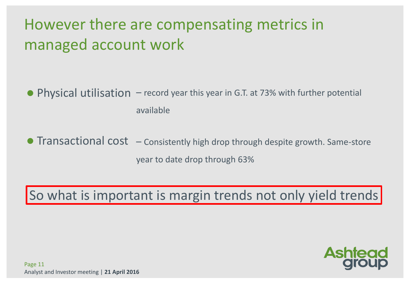### However there are compensating metrics in managed account work

● Physical utilisation – record year this year in G.T. at 73% with further potential available

● Transactional cost – Consistently high drop through despite growth. Same-store year to date drop through 63%

So what is important is margin trends not only yield trends

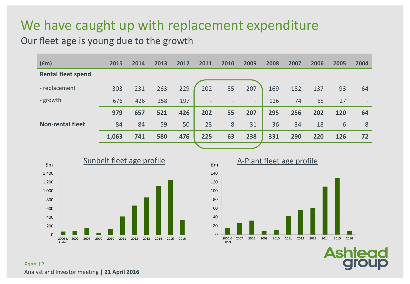#### We have caught up with replacement expenditure

#### Our fleet age is young due to the growth

| f(m)                      | 2015  | 2014 | 2013 | 2012 | 2011            | 2010 | 2009   | 2008 | 2007 | 2006 | 2005 | 2004 |
|---------------------------|-------|------|------|------|-----------------|------|--------|------|------|------|------|------|
| <b>Rental fleet spend</b> |       |      |      |      |                 |      |        |      |      |      |      |      |
| - replacement             | 303   | 231  | 263  | 229  | 202             | 55   | 207    | 169  | 182  | 137  | 93   | 64   |
| - growth                  | 676   | 426  | 258  | 197  | $\qquad \qquad$ |      | $\sim$ | 126  | 74   | 65   | 27   |      |
|                           | 979   | 657  | 521  | 426  | 202             | 55   | 207    | 295  | 256  | 202  | 120  | 64   |
| <b>Non-rental fleet</b>   | 84    | 84   | 59   | 50   | 23              | 8    | 31     | 36   | 34   | 18   | 6    | 8    |
|                           | 1,063 | 741  | 580  | 476  | 225             | 63   | 238    | 331  | 290  | 220  | 126  | 72   |
|                           |       |      |      |      |                 |      |        |      |      |      |      |      |



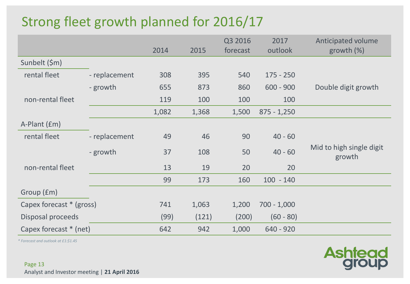### Strong fleet growth planned for 2016/17

|                          |               | 2014  | 2015  | Q3 2016<br>forecast | 2017<br>outlook | Anticipated volume<br>growth $(\%)$ |
|--------------------------|---------------|-------|-------|---------------------|-----------------|-------------------------------------|
| Sunbelt (\$m)            |               |       |       |                     |                 |                                     |
| rental fleet             | - replacement | 308   | 395   | 540                 | $175 - 250$     |                                     |
|                          | - growth      | 655   | 873   | 860                 | $600 - 900$     | Double digit growth                 |
| non-rental fleet         |               | 119   | 100   | 100                 | 100             |                                     |
|                          |               | 1,082 | 1,368 | 1,500               | $875 - 1,250$   |                                     |
| A-Plant (£m)             |               |       |       |                     |                 |                                     |
| rental fleet             | - replacement | 49    | 46    | 90                  | $40 - 60$       |                                     |
|                          | - growth      | 37    | 108   | 50                  | $40 - 60$       | Mid to high single digit<br>growth  |
| non-rental fleet         |               | 13    | 19    | 20                  | 20              |                                     |
|                          |               | 99    | 173   | 160                 | $100 - 140$     |                                     |
| Group (£m)               |               |       |       |                     |                 |                                     |
| Capex forecast * (gross) |               | 741   | 1,063 | 1,200               | $700 - 1,000$   |                                     |
| Disposal proceeds        |               | (99)  | (121) | (200)               | $(60 - 80)$     |                                     |
| Capex forecast * (net)   |               | 642   | 942   | 1,000               | $640 - 920$     |                                     |

*\* Forecast and outlook at £1:\$1.45*

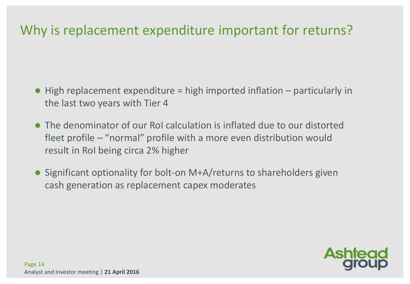#### Why is replacement expenditure important for returns?

- $\bullet$  High replacement expenditure = high imported inflation  $-$  particularly in the last two years with Tier 4
- The denominator of our RoI calculation is inflated due to our distorted fleet profile – "normal" profile with a more even distribution would result in RoI being circa 2% higher
- Significant optionality for bolt-on M+A/returns to shareholders given cash generation as replacement capex moderates

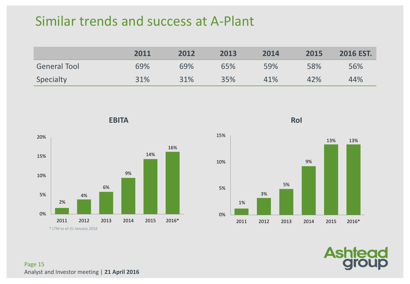#### Similar trends and success at A-Plant

|                     | 2011 | 2012 | 2013 | 2014 | 2015 | <b>2016 EST.</b> |
|---------------------|------|------|------|------|------|------------------|
| <b>General Tool</b> | 69%  | 69%  | 65%  | 59%  | 58%  | 56%              |
| Specialty           | 31%  | 31%  | 35%  | 41%  | 42%  | 44%              |



**EBITA**



**RoI**



Page 15 Analyst and Investor meeting | **21 April 2016**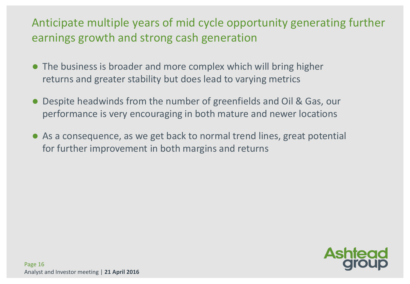#### Anticipate multiple years of mid cycle opportunity generating further earnings growth and strong cash generation

- The business is broader and more complex which will bring higher returns and greater stability but does lead to varying metrics
- Despite headwinds from the number of greenfields and Oil & Gas, our performance is very encouraging in both mature and newer locations
- As a consequence, as we get back to normal trend lines, great potential for further improvement in both margins and returns

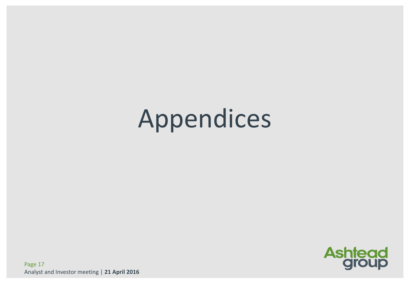# Appendices



Page 17 Analyst and Investor meeting | **21 April 2016**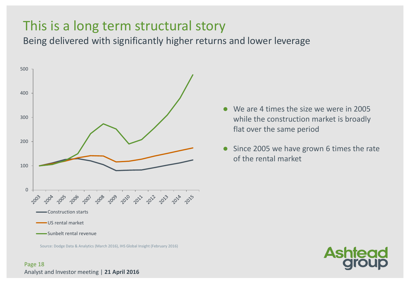#### This is a long term structural story

Being delivered with significantly higher returns and lower leverage



Source: Dodge Data & Analytics (March 2016), IHS Global Insight (February 2016)

- We are 4 times the size we were in 2005 while the construction market is broadly flat over the same period
- Since 2005 we have grown 6 times the rate of the rental market